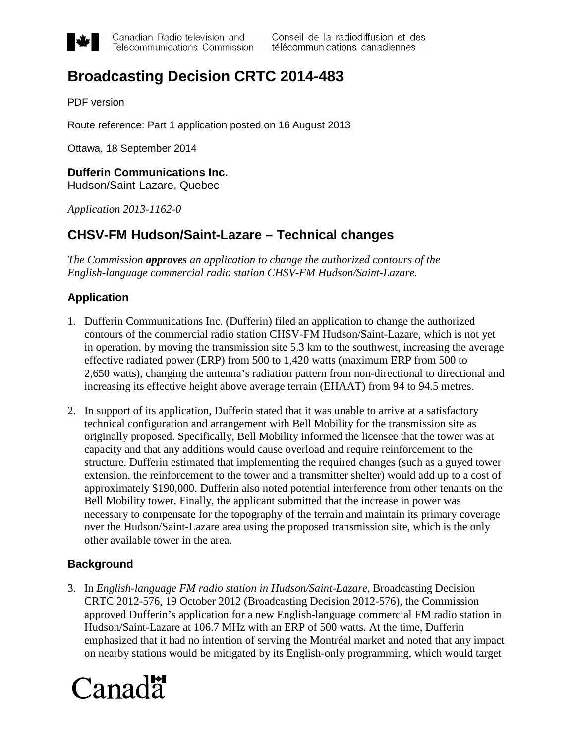

Canadian Radio-television and Telecommunications Commission Conseil de la radiodiffusion et des télécommunications canadiennes

# **Broadcasting Decision CRTC 2014-483**

PDF version

Route reference: Part 1 application posted on 16 August 2013

Ottawa, 18 September 2014

## **Dufferin Communications Inc.**

Hudson/Saint-Lazare, Quebec

*Application 2013-1162-0*

### **CHSV-FM Hudson/Saint-Lazare – Technical changes**

*The Commission approves an application to change the authorized contours of the English-language commercial radio station CHSV-FM Hudson/Saint-Lazare.*

#### **Application**

- 1. Dufferin Communications Inc. (Dufferin) filed an application to change the authorized contours of the commercial radio station CHSV-FM Hudson/Saint-Lazare, which is not yet in operation, by moving the transmission site 5.3 km to the southwest, increasing the average effective radiated power (ERP) from 500 to 1,420 watts (maximum ERP from 500 to 2,650 watts), changing the antenna's radiation pattern from non-directional to directional and increasing its effective height above average terrain (EHAAT) from 94 to 94.5 metres.
- 2. In support of its application, Dufferin stated that it was unable to arrive at a satisfactory technical configuration and arrangement with Bell Mobility for the transmission site as originally proposed. Specifically, Bell Mobility informed the licensee that the tower was at capacity and that any additions would cause overload and require reinforcement to the structure. Dufferin estimated that implementing the required changes (such as a guyed tower extension, the reinforcement to the tower and a transmitter shelter) would add up to a cost of approximately \$190,000. Dufferin also noted potential interference from other tenants on the Bell Mobility tower. Finally, the applicant submitted that the increase in power was necessary to compensate for the topography of the terrain and maintain its primary coverage over the Hudson/Saint-Lazare area using the proposed transmission site, which is the only other available tower in the area.

#### **Background**

3. In *English-language FM radio station in Hudson/Saint-Lazare*, Broadcasting Decision CRTC 2012-576, 19 October 2012 (Broadcasting Decision 2012-576), the Commission approved Dufferin's application for a new English-language commercial FM radio station in Hudson/Saint-Lazare at 106.7 MHz with an ERP of 500 watts. At the time, Dufferin emphasized that it had no intention of serving the Montréal market and noted that any impact on nearby stations would be mitigated by its English-only programming, which would target

# Canada<sup>r</sup>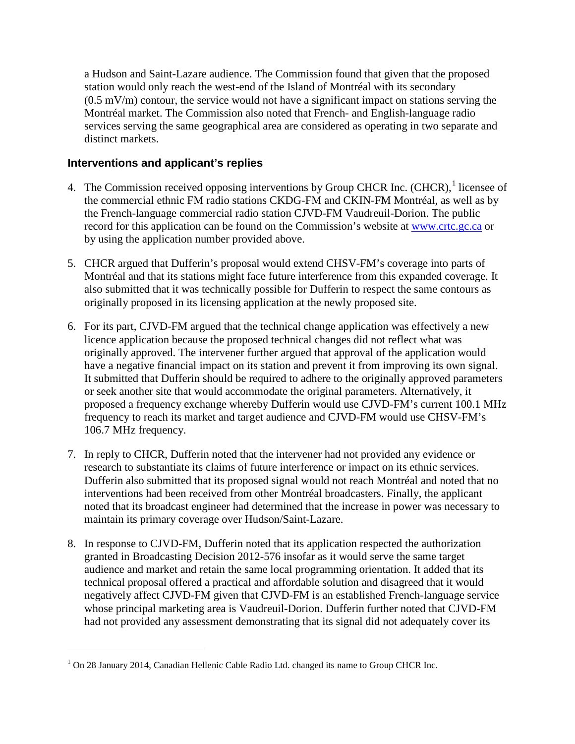a Hudson and Saint-Lazare audience. The Commission found that given that the proposed station would only reach the west-end of the Island of Montréal with its secondary  $(0.5 \text{ mV/m})$  contour, the service would not have a significant impact on stations serving the Montréal market. The Commission also noted that French- and English-language radio services serving the same geographical area are considered as operating in two separate and distinct markets.

#### **Interventions and applicant's replies**

- 4. The Commission received opposing interventions by Group CHCR Inc. (CHCR),<sup>[1](#page-1-0)</sup> licensee of recordfor this application can be found on the Commission's website at **www.crtc.gc.ca** or the commercial ethnic FM radio stations CKDG-FM and CKIN-FM Montréal, as well as by the French-language commercial radio station CJVD-FM Vaudreuil-Dorion. The public by using the application number provided above.
- 5. CHCR argued that Dufferin's proposal would extend CHSV-FM's coverage into parts of Montréal and that its stations might face future interference from this expanded coverage. It also submitted that it was technically possible for Dufferin to respect the same contours as originally proposed in its licensing application at the newly proposed site.
- 6. For its part, CJVD-FM argued that the technical change application was effectively a new licence application because the proposed technical changes did not reflect what was originally approved. The intervener further argued that approval of the application would have a negative financial impact on its station and prevent it from improving its own signal. It submitted that Dufferin should be required to adhere to the originally approved parameters or seek another site that would accommodate the original parameters. Alternatively, it proposed a frequency exchange whereby Dufferin would use CJVD-FM's current 100.1 MHz frequency to reach its market and target audience and CJVD-FM would use CHSV-FM's 106.7 MHz frequency.
- 7. In reply to CHCR, Dufferin noted that the intervener had not provided any evidence or research to substantiate its claims of future interference or impact on its ethnic services. Dufferin also submitted that its proposed signal would not reach Montréal and noted that no interventions had been received from other Montréal broadcasters. Finally, the applicant noted that its broadcast engineer had determined that the increase in power was necessary to maintain its primary coverage over Hudson/Saint-Lazare.
- 8. In response to CJVD-FM, Dufferin noted that its application respected the authorization granted in Broadcasting Decision 2012-576 insofar as it would serve the same target audience and market and retain the same local programming orientation. It added that its technical proposal offered a practical and affordable solution and disagreed that it would negatively affect CJVD-FM given that CJVD-FM is an established French-language service whose principal marketing area is Vaudreuil-Dorion. Dufferin further noted that CJVD-FM had not provided any assessment demonstrating that its signal did not adequately cover its

 $\overline{a}$ 

<span id="page-1-0"></span><sup>1</sup> On 28 January 2014, Canadian Hellenic Cable Radio Ltd. changed its name to Group CHCR Inc.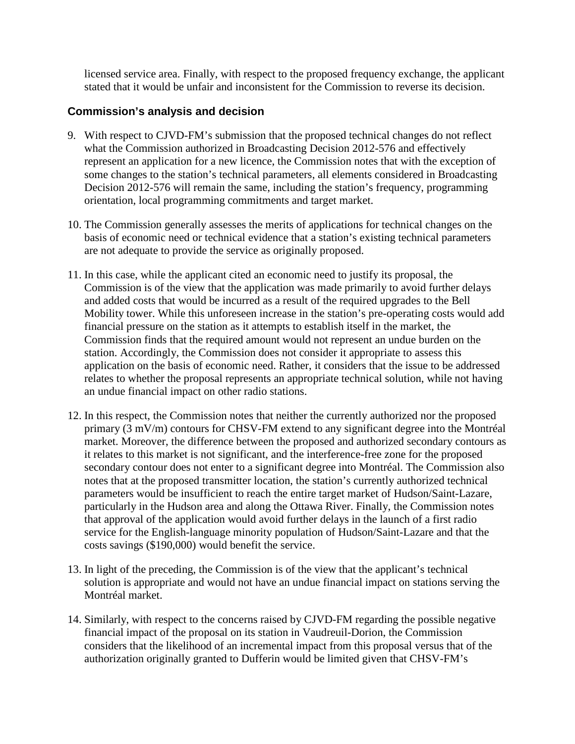licensed service area. Finally, with respect to the proposed frequency exchange, the applicant stated that it would be unfair and inconsistent for the Commission to reverse its decision.

#### **Commission's analysis and decision**

- 9. With respect to CJVD-FM's submission that the proposed technical changes do not reflect what the Commission authorized in Broadcasting Decision 2012-576 and effectively represent an application for a new licence, the Commission notes that with the exception of some changes to the station's technical parameters, all elements considered in Broadcasting Decision 2012-576 will remain the same, including the station's frequency, programming orientation, local programming commitments and target market.
- 10. The Commission generally assesses the merits of applications for technical changes on the basis of economic need or technical evidence that a station's existing technical parameters are not adequate to provide the service as originally proposed.
- 11. In this case, while the applicant cited an economic need to justify its proposal, the Commission is of the view that the application was made primarily to avoid further delays and added costs that would be incurred as a result of the required upgrades to the Bell Mobility tower. While this unforeseen increase in the station's pre-operating costs would add financial pressure on the station as it attempts to establish itself in the market, the Commission finds that the required amount would not represent an undue burden on the station. Accordingly, the Commission does not consider it appropriate to assess this application on the basis of economic need. Rather, it considers that the issue to be addressed relates to whether the proposal represents an appropriate technical solution, while not having an undue financial impact on other radio stations.
- 12. In this respect, the Commission notes that neither the currently authorized nor the proposed primary (3 mV/m) contours for CHSV-FM extend to any significant degree into the Montréal market. Moreover, the difference between the proposed and authorized secondary contours as it relates to this market is not significant, and the interference-free zone for the proposed secondary contour does not enter to a significant degree into Montréal. The Commission also notes that at the proposed transmitter location, the station's currently authorized technical parameters would be insufficient to reach the entire target market of Hudson/Saint-Lazare, particularly in the Hudson area and along the Ottawa River. Finally, the Commission notes that approval of the application would avoid further delays in the launch of a first radio service for the English-language minority population of Hudson/Saint-Lazare and that the costs savings (\$190,000) would benefit the service.
- 13. In light of the preceding, the Commission is of the view that the applicant's technical solution is appropriate and would not have an undue financial impact on stations serving the Montréal market.
- 14. Similarly, with respect to the concerns raised by CJVD-FM regarding the possible negative financial impact of the proposal on its station in Vaudreuil-Dorion, the Commission considers that the likelihood of an incremental impact from this proposal versus that of the authorization originally granted to Dufferin would be limited given that CHSV-FM's